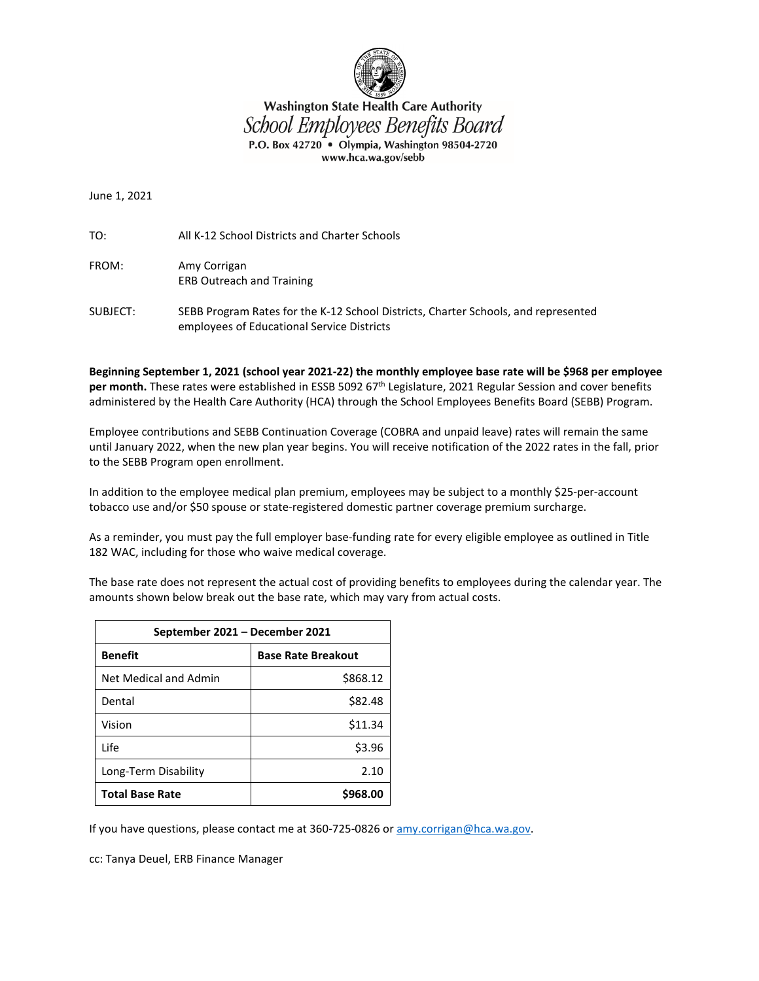

## **Washington State Health Care Authority** School Employees Benefits Board P.O. Box 42720 · Olympia, Washington 98504-2720 www.hca.wa.gov/sebb

June 1, 2021

TO: All K-12 School Districts and Charter Schools

- FROM: Amy Corrigan ERB Outreach and Training
- SUBJECT: SEBB Program Rates for the K-12 School Districts, Charter Schools, and represented employees of Educational Service Districts

**Beginning September 1, 2021 (school year 2021-22) the monthly employee base rate will be \$968 per employee per month.** These rates were established in ESSB 5092 67<sup>th</sup> Legislature, 2021 Regular Session and cover benefits administered by the Health Care Authority (HCA) through the School Employees Benefits Board (SEBB) Program.

Employee contributions and SEBB Continuation Coverage (COBRA and unpaid leave) rates will remain the same until January 2022, when the new plan year begins. You will receive notification of the 2022 rates in the fall, prior to the SEBB Program open enrollment.

In addition to the employee medical plan premium, employees may be subject to a monthly \$25-per-account tobacco use and/or \$50 spouse or state-registered domestic partner coverage premium surcharge.

As a reminder, you must pay the full employer base-funding rate for every eligible employee as outlined in Title 182 WAC, including for those who waive medical coverage.

The base rate does not represent the actual cost of providing benefits to employees during the calendar year. The amounts shown below break out the base rate, which may vary from actual costs.

| September 2021 – December 2021 |                           |  |  |  |  |
|--------------------------------|---------------------------|--|--|--|--|
| <b>Benefit</b>                 | <b>Base Rate Breakout</b> |  |  |  |  |
| Net Medical and Admin          | \$868.12                  |  |  |  |  |
| Dental                         | \$82.48                   |  |  |  |  |
| Vision                         | \$11.34                   |  |  |  |  |
| l ife                          | \$3.96                    |  |  |  |  |
| Long-Term Disability           | 2.10                      |  |  |  |  |
| <b>Total Base Rate</b>         | \$968.00                  |  |  |  |  |

If you have questions, please contact me at 360-725-0826 or [amy.corrigan@hca.wa.gov.](mailto:amy.corrigan@hca.wa.gov)

cc: Tanya Deuel, ERB Finance Manager